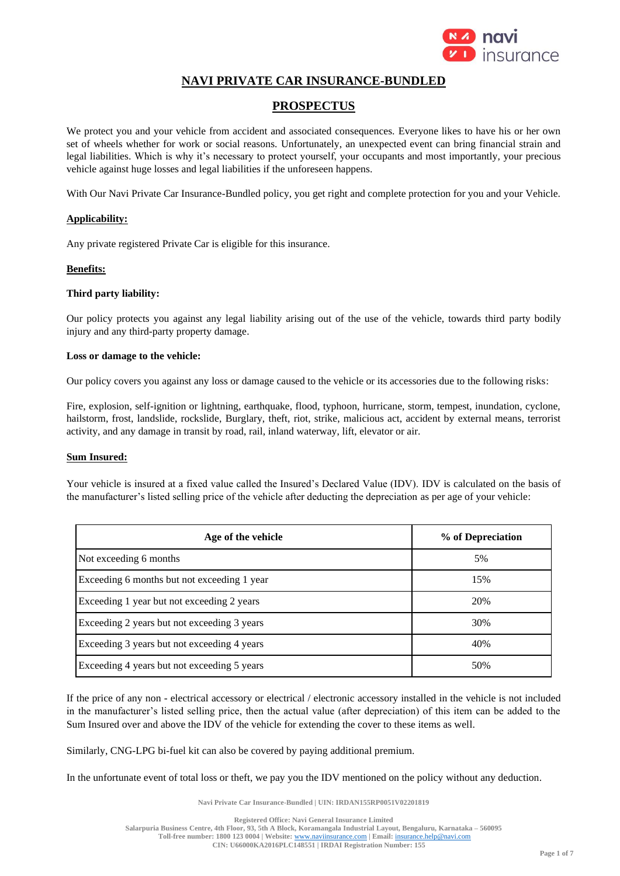

# **NAVI PRIVATE CAR INSURANCE-BUNDLED**

# **PROSPECTUS**

We protect you and your vehicle from accident and associated consequences. Everyone likes to have his or her own set of wheels whether for work or social reasons. Unfortunately, an unexpected event can bring financial strain and legal liabilities. Which is why it's necessary to protect yourself, your occupants and most importantly, your precious vehicle against huge losses and legal liabilities if the unforeseen happens.

With Our Navi Private Car Insurance-Bundled policy, you get right and complete protection for you and your Vehicle.

### **Applicability:**

Any private registered Private Car is eligible for this insurance.

### **Benefits:**

### **Third party liability:**

Our policy protects you against any legal liability arising out of the use of the vehicle, towards third party bodily injury and any third-party property damage.

#### **Loss or damage to the vehicle:**

Our policy covers you against any loss or damage caused to the vehicle or its accessories due to the following risks:

Fire, explosion, self-ignition or lightning, earthquake, flood, typhoon, hurricane, storm, tempest, inundation, cyclone, hailstorm, frost, landslide, rockslide, Burglary, theft, riot, strike, malicious act, accident by external means, terrorist activity, and any damage in transit by road, rail, inland waterway, lift, elevator or air.

### **Sum Insured:**

Your vehicle is insured at a fixed value called the Insured's Declared Value (IDV). IDV is calculated on the basis of the manufacturer's listed selling price of the vehicle after deducting the depreciation as per age of your vehicle:

| Age of the vehicle                          | % of Depreciation |
|---------------------------------------------|-------------------|
| Not exceeding 6 months                      | 5%                |
| Exceeding 6 months but not exceeding 1 year | 15%               |
| Exceeding 1 year but not exceeding 2 years  | 20%               |
| Exceeding 2 years but not exceeding 3 years | 30%               |
| Exceeding 3 years but not exceeding 4 years | 40%               |
| Exceeding 4 years but not exceeding 5 years | 50%               |

If the price of any non - electrical accessory or electrical / electronic accessory installed in the vehicle is not included in the manufacturer's listed selling price, then the actual value (after depreciation) of this item can be added to the Sum Insured over and above the IDV of the vehicle for extending the cover to these items as well.

Similarly, CNG-LPG bi-fuel kit can also be covered by paying additional premium.

In the unfortunate event of total loss or theft, we pay you the IDV mentioned on the policy without any deduction.

**Navi Private Car Insurance-Bundled | UIN: IRDAN155RP0051V02201819**

**Registered Office: Navi General Insurance Limited Salarpuria Business Centre, 4th Floor, 93, 5th A Block, Koramangala Industrial Layout, Bengaluru, Karnataka – 560095 Toll-free number: 1800 123 0004 | Website:** [www.naviinsurance.com](http://www.naviinsurance.com/) **| Email:** [insurance.help@navi.com](mailto:insurance.help@navi.com) **CIN: U66000KA2016PLC148551 | IRDAI Registration Number: 155**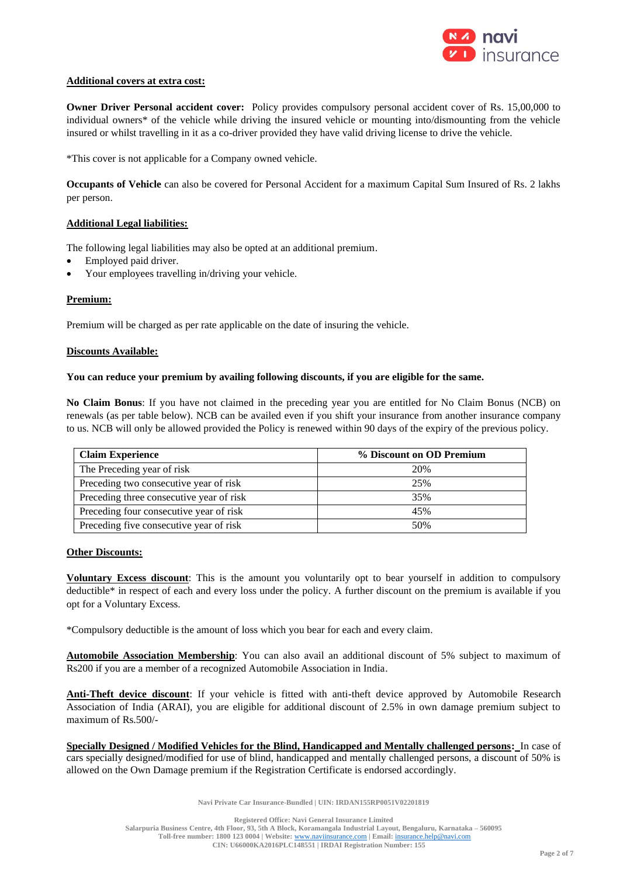

### **Additional covers at extra cost:**

**Owner Driver Personal accident cover:** Policy provides compulsory personal accident cover of Rs. 15,00,000 to individual owners\* of the vehicle while driving the insured vehicle or mounting into/dismounting from the vehicle insured or whilst travelling in it as a co-driver provided they have valid driving license to drive the vehicle.

\*This cover is not applicable for a Company owned vehicle.

**Occupants of Vehicle** can also be covered for Personal Accident for a maximum Capital Sum Insured of Rs. 2 lakhs per person.

### **Additional Legal liabilities:**

The following legal liabilities may also be opted at an additional premium.

- Employed paid driver.
- Your employees travelling in/driving your vehicle.

### **Premium:**

Premium will be charged as per rate applicable on the date of insuring the vehicle.

#### **Discounts Available:**

### **You can reduce your premium by availing following discounts, if you are eligible for the same.**

**No Claim Bonus**: If you have not claimed in the preceding year you are entitled for No Claim Bonus (NCB) on renewals (as per table below). NCB can be availed even if you shift your insurance from another insurance company to us. NCB will only be allowed provided the Policy is renewed within 90 days of the expiry of the previous policy.

| <b>Claim Experience</b>                  | % Discount on OD Premium |
|------------------------------------------|--------------------------|
| The Preceding year of risk               | 20%                      |
| Preceding two consecutive year of risk   | 25%                      |
| Preceding three consecutive year of risk | 35%                      |
| Preceding four consecutive year of risk  | 45%                      |
| Preceding five consecutive year of risk  | 50%                      |

#### **Other Discounts:**

**Voluntary Excess discount**: This is the amount you voluntarily opt to bear yourself in addition to compulsory deductible\* in respect of each and every loss under the policy. A further discount on the premium is available if you opt for a Voluntary Excess.

\*Compulsory deductible is the amount of loss which you bear for each and every claim.

**Automobile Association Membership**: You can also avail an additional discount of 5% subject to maximum of Rs200 if you are a member of a recognized Automobile Association in India.

Anti-Theft device discount: If your vehicle is fitted with anti-theft device approved by Automobile Research Association of India (ARAI), you are eligible for additional discount of 2.5% in own damage premium subject to maximum of Rs.500/-

**Specially Designed / Modified Vehicles for the Blind, Handicapped and Mentally challenged persons:** In case of cars specially designed/modified for use of blind, handicapped and mentally challenged persons, a discount of 50% is allowed on the Own Damage premium if the Registration Certificate is endorsed accordingly.

**Navi Private Car Insurance-Bundled | UIN: IRDAN155RP0051V02201819**

**Registered Office: Navi General Insurance Limited**

**Salarpuria Business Centre, 4th Floor, 93, 5th A Block, Koramangala Industrial Layout, Bengaluru, Karnataka – 560095 Toll-free number: 1800 123 0004 | Website:** [www.naviinsurance.com](http://www.naviinsurance.com/) **| Email:** [insurance.help@navi.com](mailto:insurance.help@navi.com)

**CIN: U66000KA2016PLC148551 | IRDAI Registration Number: 155**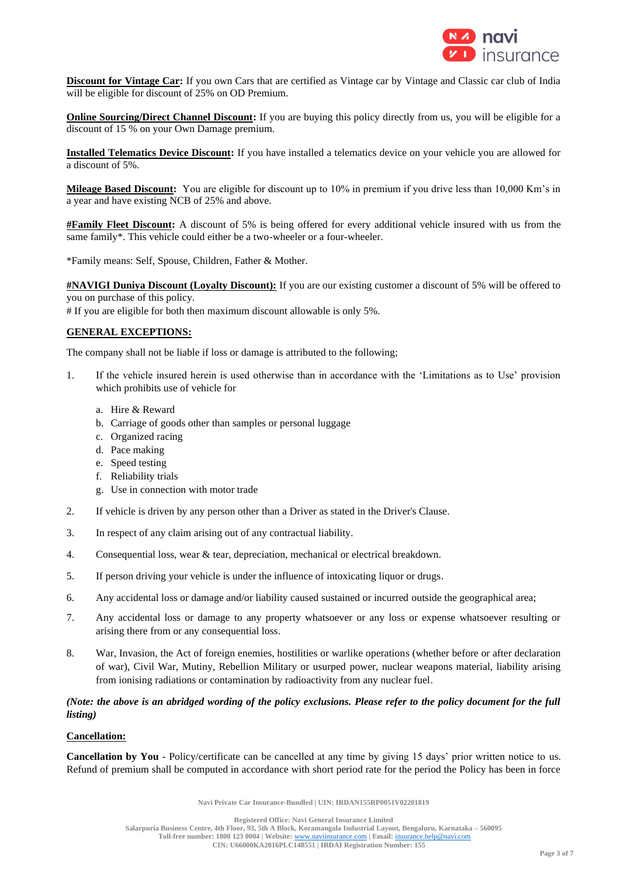

**Discount for Vintage Car:** If you own Cars that are certified as Vintage car by Vintage and Classic car club of India will be eligible for discount of 25% on OD Premium.

**Online Sourcing/Direct Channel Discount:** If you are buying this policy directly from us, you will be eligible for a discount of 15 % on your Own Damage premium.

**Installed Telematics Device Discount:** If you have installed a telematics device on your vehicle you are allowed for a discount of 5%.

**Mileage Based Discount:** You are eligible for discount up to 10% in premium if you drive less than 10,000 Km's in a year and have existing NCB of 25% and above.

**#Family Fleet Discount:** A discount of 5% is being offered for every additional vehicle insured with us from the same family\*. This vehicle could either be a two-wheeler or a four-wheeler.

\*Family means: Self, Spouse, Children, Father & Mother.

**#NAVIGI Duniya Discount (Loyalty Discount):** If you are our existing customer a discount of 5% will be offered to you on purchase of this policy.

# If you are eligible for both then maximum discount allowable is only 5%.

# **GENERAL EXCEPTIONS:**

The company shall not be liable if loss or damage is attributed to the following;

- 1. If the vehicle insured herein is used otherwise than in accordance with the 'Limitations as to Use' provision which prohibits use of vehicle for
	- a. Hire & Reward
	- b. Carriage of goods other than samples or personal luggage
	- c. Organized racing
	- d. Pace making
	- e. Speed testing
	- f. Reliability trials
	- g. Use in connection with motor trade
- 2. If vehicle is driven by any person other than a Driver as stated in the Driver's Clause.
- 3. In respect of any claim arising out of any contractual liability.
- 4. Consequential loss, wear & tear, depreciation, mechanical or electrical breakdown.
- 5. If person driving your vehicle is under the influence of intoxicating liquor or drugs.
- 6. Any accidental loss or damage and/or liability caused sustained or incurred outside the geographical area;
- 7. Any accidental loss or damage to any property whatsoever or any loss or expense whatsoever resulting or arising there from or any consequential loss.
- 8. War, Invasion, the Act of foreign enemies, hostilities or warlike operations (whether before or after declaration of war), Civil War, Mutiny, Rebellion Military or usurped power, nuclear weapons material, liability arising from ionising radiations or contamination by radioactivity from any nuclear fuel.

# *(Note: the above is an abridged wording of the policy exclusions. Please refer to the policy document for the full listing)*

### **Cancellation:**

**Cancellation by You** - Policy/certificate can be cancelled at any time by giving 15 days' prior written notice to us. Refund of premium shall be computed in accordance with short period rate for the period the Policy has been in force

**Navi Private Car Insurance-Bundled | UIN: IRDAN155RP0051V02201819**

**Registered Office: Navi General Insurance Limited**

**Salarpuria Business Centre, 4th Floor, 93, 5th A Block, Koramangala Industrial Layout, Bengaluru, Karnataka – 560095 Toll-free number: 1800 123 0004 | Website:** [www.naviinsurance.com](http://www.naviinsurance.com/) **| Email:** [insurance.help@navi.com](mailto:insurance.help@navi.com)

**CIN: U66000KA2016PLC148551 | IRDAI Registration Number: 155**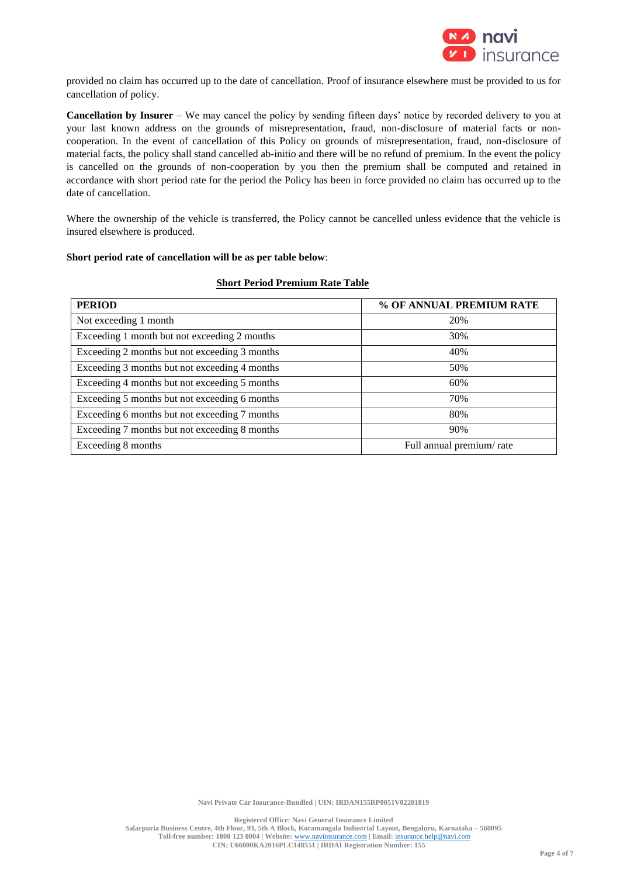

provided no claim has occurred up to the date of cancellation. Proof of insurance elsewhere must be provided to us for cancellation of policy.

**Cancellation by Insurer** – We may cancel the policy by sending fifteen days' notice by recorded delivery to you at your last known address on the grounds of misrepresentation, fraud, non-disclosure of material facts or noncooperation. In the event of cancellation of this Policy on grounds of misrepresentation, fraud, non-disclosure of material facts, the policy shall stand cancelled ab-initio and there will be no refund of premium. In the event the policy is cancelled on the grounds of non-cooperation by you then the premium shall be computed and retained in accordance with short period rate for the period the Policy has been in force provided no claim has occurred up to the date of cancellation.

Where the ownership of the vehicle is transferred, the Policy cannot be cancelled unless evidence that the vehicle is insured elsewhere is produced.

### **Short period rate of cancellation will be as per table below**:

| <b>PERIOD</b>                                 | % OF ANNUAL PREMIUM RATE |
|-----------------------------------------------|--------------------------|
| Not exceeding 1 month                         | 20%                      |
| Exceeding 1 month but not exceeding 2 months  | 30%                      |
| Exceeding 2 months but not exceeding 3 months | 40%                      |
| Exceeding 3 months but not exceeding 4 months | 50%                      |
| Exceeding 4 months but not exceeding 5 months | 60%                      |
| Exceeding 5 months but not exceeding 6 months | 70%                      |
| Exceeding 6 months but not exceeding 7 months | 80%                      |
| Exceeding 7 months but not exceeding 8 months | 90%                      |
| Exceeding 8 months                            | Full annual premium/rate |

### **Short Period Premium Rate Table**

**Navi Private Car Insurance-Bundled | UIN: IRDAN155RP0051V02201819**

**Registered Office: Navi General Insurance Limited**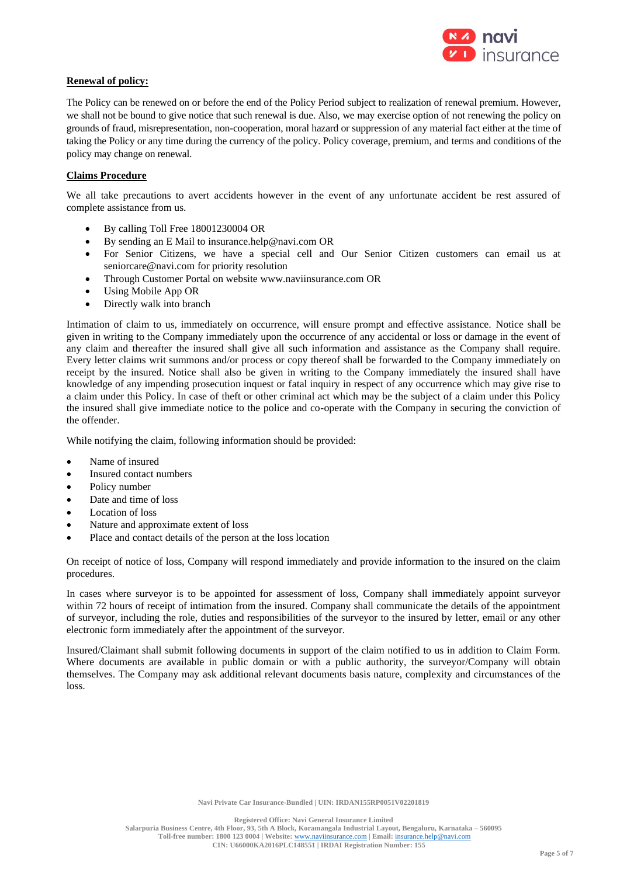

### **Renewal of policy:**

The Policy can be renewed on or before the end of the Policy Period subject to realization of renewal premium. However, we shall not be bound to give notice that such renewal is due. Also, we may exercise option of not renewing the policy on grounds of fraud, misrepresentation, non-cooperation, moral hazard or suppression of any material fact either at the time of taking the Policy or any time during the currency of the policy. Policy coverage, premium, and terms and conditions of the policy may change on renewal.

# **Claims Procedure**

We all take precautions to avert accidents however in the event of any unfortunate accident be rest assured of complete assistance from us.

- By calling Toll Free 18001230004 OR
- By sending an E Mail to [insurance.help@navi.com](mailto:insurance.help@navi.com) OR
- For Senior Citizens, we have a special cell and Our Senior Citizen customers can email us at [seniorcare@navi.com](mailto:seniorcare@navi.com) for priority resolution
- Through Customer Portal on website [www.naviinsurance.com](http://www.naviinsurance.com/) OR
- Using Mobile App OR
- Directly walk into branch

Intimation of claim to us, immediately on occurrence, will ensure prompt and effective assistance. Notice shall be given in writing to the Company immediately upon the occurrence of any accidental or loss or damage in the event of any claim and thereafter the insured shall give all such information and assistance as the Company shall require. Every letter claims writ summons and/or process or copy thereof shall be forwarded to the Company immediately on receipt by the insured. Notice shall also be given in writing to the Company immediately the insured shall have knowledge of any impending prosecution inquest or fatal inquiry in respect of any occurrence which may give rise to a claim under this Policy. In case of theft or other criminal act which may be the subject of a claim under this Policy the insured shall give immediate notice to the police and co-operate with the Company in securing the conviction of the offender.

While notifying the claim, following information should be provided:

- Name of insured
- Insured contact numbers
- Policy number
- Date and time of loss
- Location of loss
- Nature and approximate extent of loss
- Place and contact details of the person at the loss location

On receipt of notice of loss, Company will respond immediately and provide information to the insured on the claim procedures.

In cases where surveyor is to be appointed for assessment of loss, Company shall immediately appoint surveyor within 72 hours of receipt of intimation from the insured. Company shall communicate the details of the appointment of surveyor, including the role, duties and responsibilities of the surveyor to the insured by letter, email or any other electronic form immediately after the appointment of the surveyor.

Insured/Claimant shall submit following documents in support of the claim notified to us in addition to Claim Form. Where documents are available in public domain or with a public authority, the surveyor/Company will obtain themselves. The Company may ask additional relevant documents basis nature, complexity and circumstances of the loss.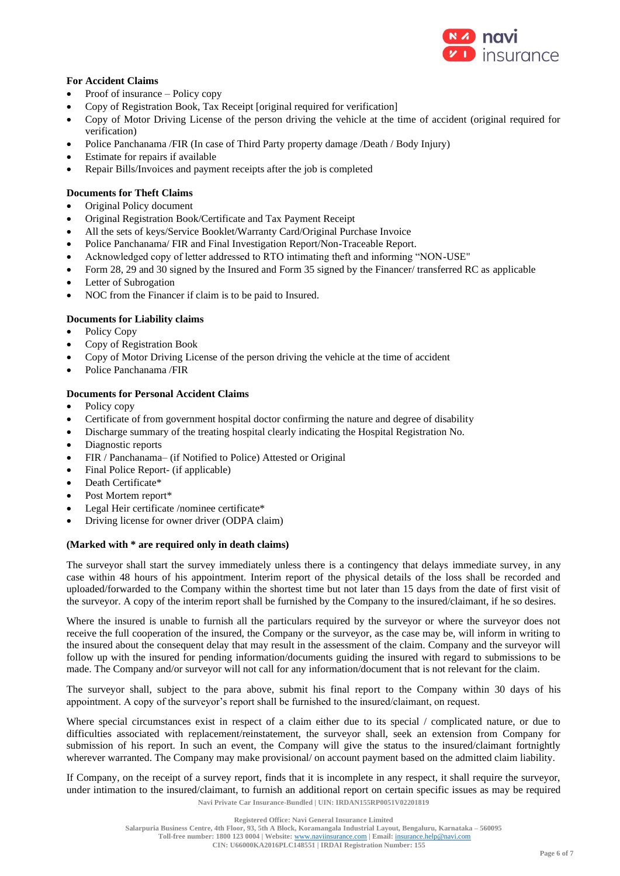

# **For Accident Claims**

- Proof of insurance Policy copy
- Copy of Registration Book, Tax Receipt [original required for verification]
- Copy of Motor Driving License of the person driving the vehicle at the time of accident (original required for verification)
- Police Panchanama /FIR (In case of Third Party property damage /Death / Body Injury)
- Estimate for repairs if available
- Repair Bills/Invoices and payment receipts after the job is completed

# **Documents for Theft Claims**

- Original Policy document
- Original Registration Book/Certificate and Tax Payment Receipt
- All the sets of keys/Service Booklet/Warranty Card/Original Purchase Invoice
- Police Panchanama/ FIR and Final Investigation Report/Non-Traceable Report.
- Acknowledged copy of letter addressed to RTO intimating theft and informing "NON-USE"
- Form 28, 29 and 30 signed by the Insured and Form 35 signed by the Financer/ transferred RC as applicable
- Letter of Subrogation
- NOC from the Financer if claim is to be paid to Insured.

# **Documents for Liability claims**

- Policy Copy
- Copy of Registration Book
- Copy of Motor Driving License of the person driving the vehicle at the time of accident
- Police Panchanama /FIR

### **Documents for Personal Accident Claims**

- Policy copy
- Certificate of from government hospital doctor confirming the nature and degree of disability
- Discharge summary of the treating hospital clearly indicating the Hospital Registration No.
- Diagnostic reports
- FIR / Panchanama– (if Notified to Police) Attested or Original
- Final Police Report- (if applicable)
- Death Certificate\*
- Post Mortem report\*
- Legal Heir certificate /nominee certificate\*
- Driving license for owner driver (ODPA claim)

### **(Marked with \* are required only in death claims)**

The surveyor shall start the survey immediately unless there is a contingency that delays immediate survey, in any case within 48 hours of his appointment. Interim report of the physical details of the loss shall be recorded and uploaded/forwarded to the Company within the shortest time but not later than 15 days from the date of first visit of the surveyor. A copy of the interim report shall be furnished by the Company to the insured/claimant, if he so desires.

Where the insured is unable to furnish all the particulars required by the surveyor or where the surveyor does not receive the full cooperation of the insured, the Company or the surveyor, as the case may be, will inform in writing to the insured about the consequent delay that may result in the assessment of the claim. Company and the surveyor will follow up with the insured for pending information/documents guiding the insured with regard to submissions to be made. The Company and/or surveyor will not call for any information/document that is not relevant for the claim.

The surveyor shall, subject to the para above, submit his final report to the Company within 30 days of his appointment. A copy of the surveyor's report shall be furnished to the insured/claimant, on request.

Where special circumstances exist in respect of a claim either due to its special / complicated nature, or due to difficulties associated with replacement/reinstatement, the surveyor shall, seek an extension from Company for submission of his report. In such an event, the Company will give the status to the insured/claimant fortnightly wherever warranted. The Company may make provisional/ on account payment based on the admitted claim liability.

**Navi Private Car Insurance-Bundled | UIN: IRDAN155RP0051V02201819** If Company, on the receipt of a survey report, finds that it is incomplete in any respect, it shall require the surveyor, under intimation to the insured/claimant, to furnish an additional report on certain specific issues as may be required